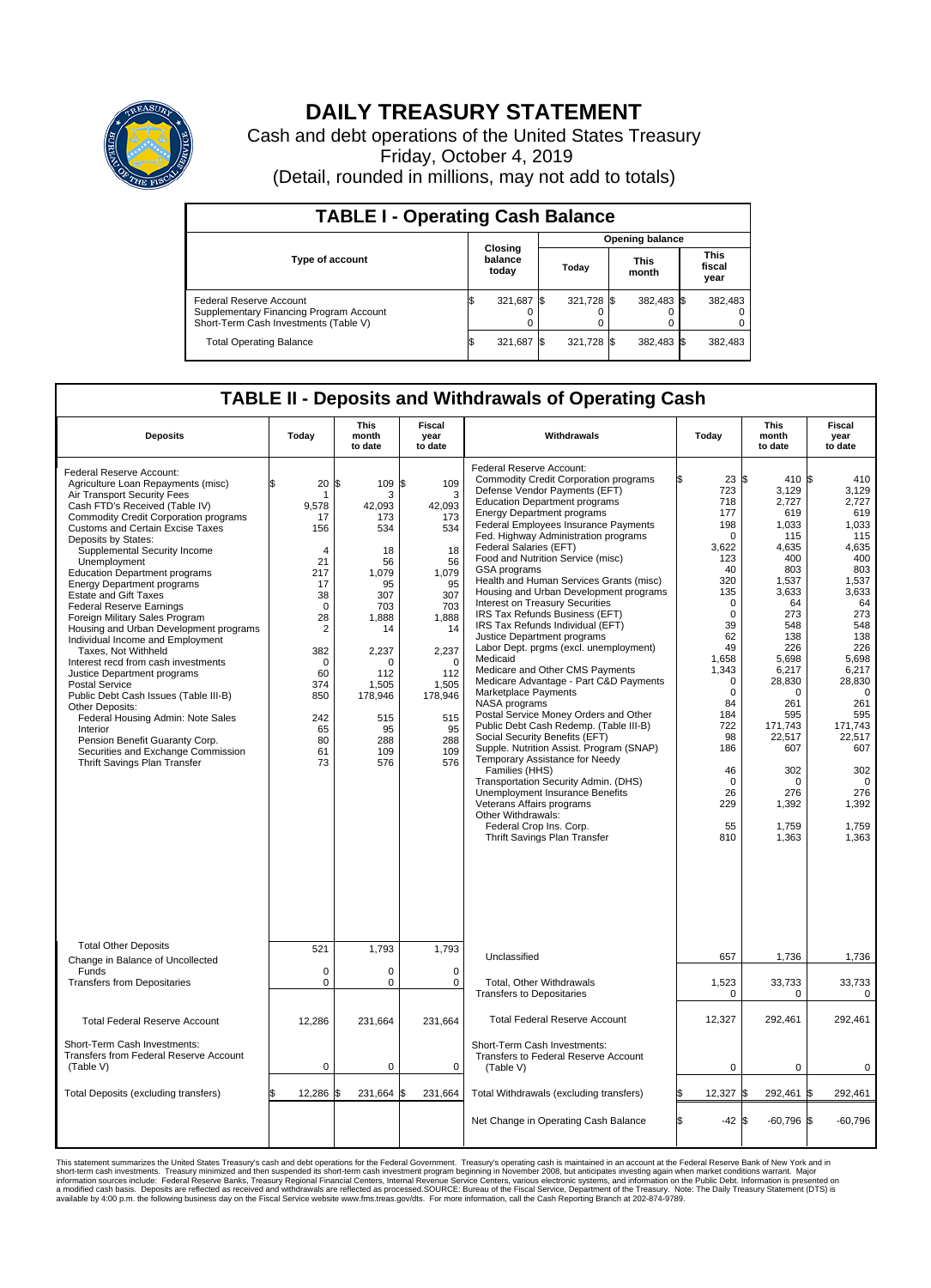

## **DAILY TREASURY STATEMENT**

Cash and debt operations of the United States Treasury Friday, October 4, 2019 (Detail, rounded in millions, may not add to totals)

| <b>TABLE I - Operating Cash Balance</b>                                                                     |                             |            |       |                        |                      |            |  |                               |  |  |  |  |
|-------------------------------------------------------------------------------------------------------------|-----------------------------|------------|-------|------------------------|----------------------|------------|--|-------------------------------|--|--|--|--|
|                                                                                                             |                             |            |       | <b>Opening balance</b> |                      |            |  |                               |  |  |  |  |
| Type of account                                                                                             | Closing<br>balance<br>today |            | Today |                        | <b>This</b><br>month |            |  | <b>This</b><br>fiscal<br>year |  |  |  |  |
| Federal Reserve Account<br>Supplementary Financing Program Account<br>Short-Term Cash Investments (Table V) |                             | 321,687 \$ |       | 321,728 \$             |                      | 382,483 \$ |  | 382,483                       |  |  |  |  |
| <b>Total Operating Balance</b>                                                                              | IЭ                          | 321,687 \$ |       | 321,728 \$             |                      | 382,483 \$ |  | 382,483                       |  |  |  |  |

## **TABLE II - Deposits and Withdrawals of Operating Cash**

| <b>Deposits</b>                                                                                                                                                                                                                                                                                                                                                                                                                                                                                                                                                                                                                                                                                                                                                                                                                                                                                              | Today                                                                                                                                                                                         | <b>This</b><br>month<br>to date                                                                                                                                            | <b>Fiscal</b><br>year<br>to date                                                                                                                                                    | Withdrawals                                                                                                                                                                                                                                                                                                                                                                                                                                                                                                                                                                                                                                                                                                                                                                                                                                                                                                                                                                                                                                                                                                                                                                  | Today                                                                                                                                                                                                                                                              | <b>This</b><br>month<br>to date                                                                                                                                                                                                                            | <b>Fiscal</b><br>year<br>to date                                                                                                                                                                                                                                     |
|--------------------------------------------------------------------------------------------------------------------------------------------------------------------------------------------------------------------------------------------------------------------------------------------------------------------------------------------------------------------------------------------------------------------------------------------------------------------------------------------------------------------------------------------------------------------------------------------------------------------------------------------------------------------------------------------------------------------------------------------------------------------------------------------------------------------------------------------------------------------------------------------------------------|-----------------------------------------------------------------------------------------------------------------------------------------------------------------------------------------------|----------------------------------------------------------------------------------------------------------------------------------------------------------------------------|-------------------------------------------------------------------------------------------------------------------------------------------------------------------------------------|------------------------------------------------------------------------------------------------------------------------------------------------------------------------------------------------------------------------------------------------------------------------------------------------------------------------------------------------------------------------------------------------------------------------------------------------------------------------------------------------------------------------------------------------------------------------------------------------------------------------------------------------------------------------------------------------------------------------------------------------------------------------------------------------------------------------------------------------------------------------------------------------------------------------------------------------------------------------------------------------------------------------------------------------------------------------------------------------------------------------------------------------------------------------------|--------------------------------------------------------------------------------------------------------------------------------------------------------------------------------------------------------------------------------------------------------------------|------------------------------------------------------------------------------------------------------------------------------------------------------------------------------------------------------------------------------------------------------------|----------------------------------------------------------------------------------------------------------------------------------------------------------------------------------------------------------------------------------------------------------------------|
| Federal Reserve Account:<br>Agriculture Loan Repayments (misc)<br>Air Transport Security Fees<br>Cash FTD's Received (Table IV)<br><b>Commodity Credit Corporation programs</b><br><b>Customs and Certain Excise Taxes</b><br>Deposits by States:<br>Supplemental Security Income<br>Unemployment<br><b>Education Department programs</b><br><b>Energy Department programs</b><br><b>Estate and Gift Taxes</b><br><b>Federal Reserve Earnings</b><br>Foreign Military Sales Program<br>Housing and Urban Development programs<br>Individual Income and Employment<br>Taxes. Not Withheld<br>Interest recd from cash investments<br>Justice Department programs<br><b>Postal Service</b><br>Public Debt Cash Issues (Table III-B)<br>Other Deposits:<br>Federal Housing Admin: Note Sales<br>Interior<br>Pension Benefit Guaranty Corp.<br>Securities and Exchange Commission<br>Thrift Savings Plan Transfer | 20<br>ፍ<br>1<br>9.578<br>17<br>156<br>$\overline{4}$<br>21<br>217<br>17<br>38<br>$\mathbf 0$<br>28<br>$\overline{2}$<br>382<br>$\mathbf 0$<br>60<br>374<br>850<br>242<br>65<br>80<br>61<br>73 | 1\$<br>109<br>3<br>42.093<br>173<br>534<br>18<br>56<br>1,079<br>95<br>307<br>703<br>1,888<br>14<br>2,237<br>0<br>112<br>1,505<br>178,946<br>515<br>95<br>288<br>109<br>576 | \$<br>109<br>3<br>42.093<br>173<br>534<br>18<br>56<br>1,079<br>95<br>307<br>703<br>1,888<br>14<br>2,237<br>$\mathbf 0$<br>112<br>1,505<br>178,946<br>515<br>95<br>288<br>109<br>576 | Federal Reserve Account:<br><b>Commodity Credit Corporation programs</b><br>Defense Vendor Payments (EFT)<br><b>Education Department programs</b><br><b>Energy Department programs</b><br>Federal Employees Insurance Payments<br>Fed. Highway Administration programs<br>Federal Salaries (EFT)<br>Food and Nutrition Service (misc)<br>GSA programs<br>Health and Human Services Grants (misc)<br>Housing and Urban Development programs<br>Interest on Treasury Securities<br>IRS Tax Refunds Business (EFT)<br>IRS Tax Refunds Individual (EFT)<br>Justice Department programs<br>Labor Dept. prgms (excl. unemployment)<br>Medicaid<br>Medicare and Other CMS Payments<br>Medicare Advantage - Part C&D Payments<br>Marketplace Payments<br>NASA programs<br>Postal Service Money Orders and Other<br>Public Debt Cash Redemp. (Table III-B)<br>Social Security Benefits (EFT)<br>Supple. Nutrition Assist. Program (SNAP)<br>Temporary Assistance for Needy<br>Families (HHS)<br>Transportation Security Admin. (DHS)<br>Unemployment Insurance Benefits<br>Veterans Affairs programs<br>Other Withdrawals:<br>Federal Crop Ins. Corp.<br>Thrift Savings Plan Transfer | $23 \text{ }$ \$<br>723<br>718<br>177<br>198<br>0<br>3,622<br>123<br>40<br>320<br>135<br>$\mathbf 0$<br>$\mathbf 0$<br>39<br>62<br>49<br>1,658<br>1,343<br>$\Omega$<br>$\mathbf 0$<br>84<br>184<br>722<br>98<br>186<br>46<br>$\mathbf 0$<br>26<br>229<br>55<br>810 | 410 \$<br>3,129<br>2,727<br>619<br>1,033<br>115<br>4,635<br>400<br>803<br>1,537<br>3.633<br>64<br>273<br>548<br>138<br>226<br>5,698<br>6,217<br>28,830<br>0<br>261<br>595<br>171,743<br>22,517<br>607<br>302<br>$\Omega$<br>276<br>1,392<br>1,759<br>1,363 | 410<br>3,129<br>2,727<br>619<br>1,033<br>115<br>4,635<br>400<br>803<br>1,537<br>3,633<br>64<br>273<br>548<br>138<br>226<br>5,698<br>6,217<br>28,830<br>$\overline{0}$<br>261<br>595<br>171,743<br>22,517<br>607<br>302<br>$\Omega$<br>276<br>1,392<br>1,759<br>1,363 |
| <b>Total Other Deposits</b>                                                                                                                                                                                                                                                                                                                                                                                                                                                                                                                                                                                                                                                                                                                                                                                                                                                                                  | 521                                                                                                                                                                                           | 1,793                                                                                                                                                                      | 1,793                                                                                                                                                                               | Unclassified                                                                                                                                                                                                                                                                                                                                                                                                                                                                                                                                                                                                                                                                                                                                                                                                                                                                                                                                                                                                                                                                                                                                                                 | 657                                                                                                                                                                                                                                                                | 1,736                                                                                                                                                                                                                                                      | 1,736                                                                                                                                                                                                                                                                |
| Change in Balance of Uncollected<br>Funds                                                                                                                                                                                                                                                                                                                                                                                                                                                                                                                                                                                                                                                                                                                                                                                                                                                                    | $\mathbf 0$                                                                                                                                                                                   | 0                                                                                                                                                                          | $\mathbf 0$                                                                                                                                                                         |                                                                                                                                                                                                                                                                                                                                                                                                                                                                                                                                                                                                                                                                                                                                                                                                                                                                                                                                                                                                                                                                                                                                                                              |                                                                                                                                                                                                                                                                    |                                                                                                                                                                                                                                                            |                                                                                                                                                                                                                                                                      |
| <b>Transfers from Depositaries</b>                                                                                                                                                                                                                                                                                                                                                                                                                                                                                                                                                                                                                                                                                                                                                                                                                                                                           | $\mathbf 0$                                                                                                                                                                                   | 0                                                                                                                                                                          | $\mathbf 0$                                                                                                                                                                         | Total, Other Withdrawals<br><b>Transfers to Depositaries</b>                                                                                                                                                                                                                                                                                                                                                                                                                                                                                                                                                                                                                                                                                                                                                                                                                                                                                                                                                                                                                                                                                                                 | 1,523<br>0                                                                                                                                                                                                                                                         | 33,733<br>0                                                                                                                                                                                                                                                | 33,733<br>0                                                                                                                                                                                                                                                          |
| <b>Total Federal Reserve Account</b>                                                                                                                                                                                                                                                                                                                                                                                                                                                                                                                                                                                                                                                                                                                                                                                                                                                                         | 12,286                                                                                                                                                                                        | 231,664                                                                                                                                                                    | 231,664                                                                                                                                                                             | <b>Total Federal Reserve Account</b>                                                                                                                                                                                                                                                                                                                                                                                                                                                                                                                                                                                                                                                                                                                                                                                                                                                                                                                                                                                                                                                                                                                                         | 12,327                                                                                                                                                                                                                                                             | 292,461                                                                                                                                                                                                                                                    | 292,461                                                                                                                                                                                                                                                              |
| Short-Term Cash Investments:<br>Transfers from Federal Reserve Account<br>(Table V)                                                                                                                                                                                                                                                                                                                                                                                                                                                                                                                                                                                                                                                                                                                                                                                                                          | $\mathbf 0$                                                                                                                                                                                   | 0                                                                                                                                                                          | $\mathbf 0$                                                                                                                                                                         | Short-Term Cash Investments:<br>Transfers to Federal Reserve Account<br>(Table V)                                                                                                                                                                                                                                                                                                                                                                                                                                                                                                                                                                                                                                                                                                                                                                                                                                                                                                                                                                                                                                                                                            | $\mathbf 0$                                                                                                                                                                                                                                                        | $\mathbf 0$                                                                                                                                                                                                                                                | 0                                                                                                                                                                                                                                                                    |
| Total Deposits (excluding transfers)                                                                                                                                                                                                                                                                                                                                                                                                                                                                                                                                                                                                                                                                                                                                                                                                                                                                         | 12,286                                                                                                                                                                                        | 231,664                                                                                                                                                                    | 231,664<br>\$                                                                                                                                                                       | Total Withdrawals (excluding transfers)                                                                                                                                                                                                                                                                                                                                                                                                                                                                                                                                                                                                                                                                                                                                                                                                                                                                                                                                                                                                                                                                                                                                      | 12,327 \$                                                                                                                                                                                                                                                          | 292,461                                                                                                                                                                                                                                                    | 1\$<br>292,461                                                                                                                                                                                                                                                       |
|                                                                                                                                                                                                                                                                                                                                                                                                                                                                                                                                                                                                                                                                                                                                                                                                                                                                                                              |                                                                                                                                                                                               |                                                                                                                                                                            |                                                                                                                                                                                     | Net Change in Operating Cash Balance                                                                                                                                                                                                                                                                                                                                                                                                                                                                                                                                                                                                                                                                                                                                                                                                                                                                                                                                                                                                                                                                                                                                         | l\$<br>$-42S$                                                                                                                                                                                                                                                      | $-60,796$ \$                                                                                                                                                                                                                                               | $-60,796$                                                                                                                                                                                                                                                            |

This statement summarizes the United States Treasury's cash and debt operations for the Federal Government. Treasury soperating in November 2008, but anticiarded in a cocount at the Federal Reserve Bank of New York and in<br>